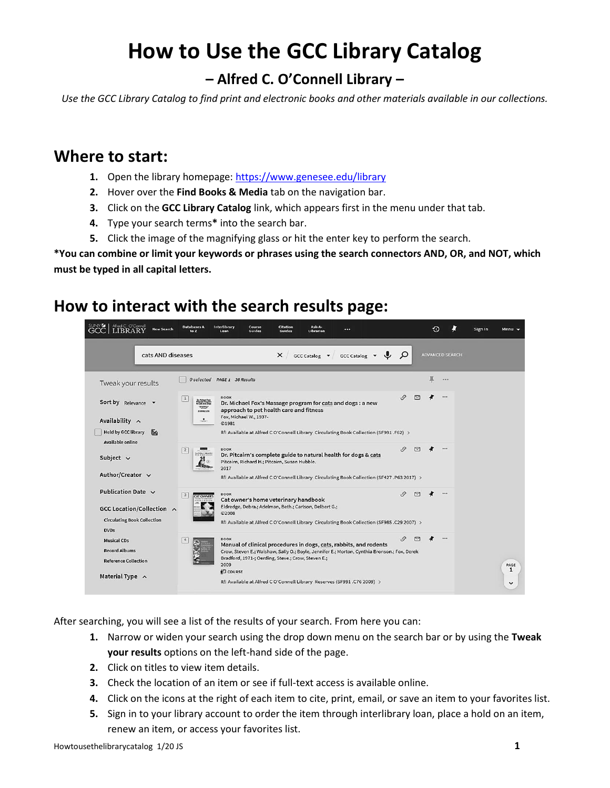# **How to Use the GCC Library Catalog**

## **– Alfred C. O'Connell Library –**

*Use the GCC Library Catalog to find print and electronic books and other materials available in our collections.*

#### **Where to start:**

- **1.** Open the library homepage: <https://www.genesee.edu/library>
- **2.** Hover over the **Find Books & Media** tab on the navigation bar.
- **3.** Click on the **GCC Library Catalog** link, which appears first in the menu under that tab.
- **4.** Type your search terms**\*** into the search bar.
- **5.** Click the image of the magnifying glass or hit the enter key to perform the search.

**\*You can combine or limit your keywords or phrases using the search connectors AND, OR, and NOT, which must be typed in all capital letters.**

#### **How to interact with the search results page:**

| Alfred C. O'Connell<br><b>New Search</b>                                                                  | Databases A<br>to Z                            | Interlibrary<br>Course<br>Guides<br>Loan                                                                                                                                                                                                                                                                                                               | Citation<br>Guides | Ask-A-<br>Librarian | $\overline{\phantom{a}}$                        |                    |   |                        | Sign in | Menu $\blacktriangledown$ |
|-----------------------------------------------------------------------------------------------------------|------------------------------------------------|--------------------------------------------------------------------------------------------------------------------------------------------------------------------------------------------------------------------------------------------------------------------------------------------------------------------------------------------------------|--------------------|---------------------|-------------------------------------------------|--------------------|---|------------------------|---------|---------------------------|
| cats AND diseases                                                                                         |                                                |                                                                                                                                                                                                                                                                                                                                                        | $\times$           |                     | $GCC$ Catalog $\bullet$ GCC Catalog $\bullet$ U | $\mathcal{Q}$      |   | <b>ADVANCED SEARCH</b> |         |                           |
| Tweak your results                                                                                        | 0 selected                                     | PAGE 1 36 Results                                                                                                                                                                                                                                                                                                                                      |                    |                     |                                                 |                    | 戛 | $$                     |         |                           |
| Sort by Relevance $\blacktriangledown$<br>Availability ^                                                  | 1 <br><b>Control Com</b><br>7507<br>-----<br>土 | <b>BOOK</b><br>Dr. Michael Fox's Massage program for cats and dogs : a new<br>approach to pet health care and fitness<br>Fox, Michael W., 1937-<br>@1981                                                                                                                                                                                               |                    |                     |                                                 | $\mathcal{S}$<br>罓 |   |                        |         |                           |
| <b>Held by GCC library</b><br>ĪΧ<br>Available online                                                      |                                                | ILL Available at Alfred C O'Connell Library Circulating Book Collection (SF991 .F62) >                                                                                                                                                                                                                                                                 |                    |                     |                                                 |                    |   |                        |         |                           |
| Subject $\vee$<br>Author/Creator v                                                                        | 2                                              | <b>BOOK</b><br>Dr. Pitcairn's complete guide to natural health for dogs & cats<br>Pitcairn, Richard H.; Pitcairn, Susan Hubble.<br>2017<br>IL! Available at Alfred C O'Connell Library Circulating Book Collection (SF427 .P63 2017) >                                                                                                                 |                    |                     |                                                 | $\mathcal{O}$<br>罓 |   | $\cdots$               |         |                           |
| Publication Date $\sim$<br>GCC Location/Collection ~<br><b>Circulating Book Collection</b><br><b>DVDs</b> | 3<br><b>CAT OWNERS</b>                         | <b>BOOK</b><br>Cat owner's home veterinary handbook<br>Eldredge, Debra.; Adelman, Beth.; Carlson, Delbert G.;<br><sup>©2008</sup><br>IL! Available at Alfred C O'Connell Library Circulating Book Collection (SF985 .C29 2007) >                                                                                                                       |                    |                     |                                                 | S.<br>罓            |   | $\cdots$               |         |                           |
| <b>Musical CDs</b><br><b>Record Albums</b><br><b>Reference Collection</b><br>Material Type A              |                                                | <b>BOOK</b><br>Manual of clinical procedures in dogs, cats, rabbits, and rodents<br>Crow, Steven E.; Walshaw, Sally O.; Boyle, Jennifer E.; Morton, Cynthia Bronson.; Fox, Derek<br>Bradford, 1971-; Oerding, Steve.; Crow, Steven E.;<br>2009<br><b>D</b> COURSE<br><b>ILL Available at Alfred C O'Connell Library Reserves (SF991.C76 2009) &gt;</b> |                    |                     |                                                 | G,                 |   |                        |         | PAGE<br>1<br>$\check{ }$  |

After searching, you will see a list of the results of your search. From here you can:

- **1.** Narrow or widen your search using the drop down menu on the search bar or by using the **Tweak your results** options on the left-hand side of the page.
- **2.** Click on titles to view item details.
- **3.** Check the location of an item or see if full-text access is available online.
- **4.** Click on the icons at the right of each item to cite, print, email, or save an item to your favorites list.
- **5.** Sign in to your library account to order the item through interlibrary loan, place a hold on an item, renew an item, or access your favorites list.